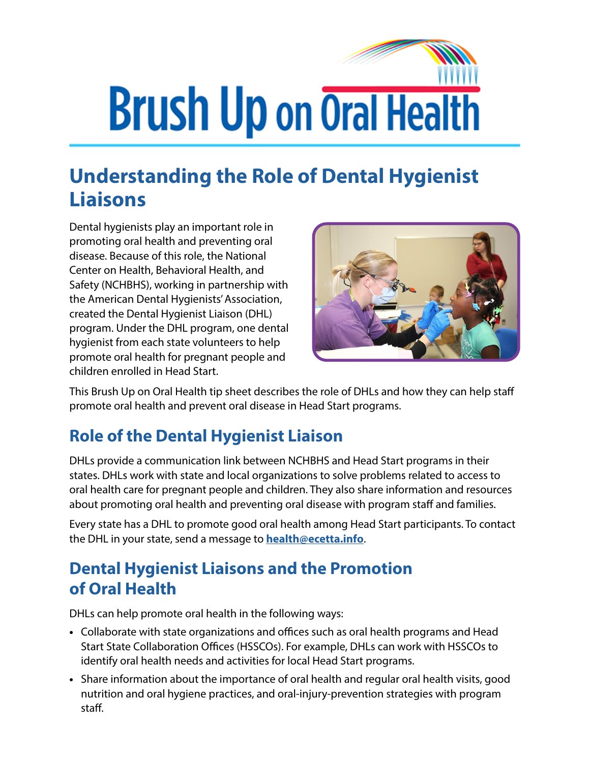

## **Understanding the Role of Dental Hygienist Liaisons**

Dental hygienists play an important role in promoting oral health and preventing oral disease. Because of this role, the National Center on Health, Behavioral Health, and Safety (NCHBHS), working in partnership with the American Dental Hygienists' Association, created the Dental Hygienist Liaison (DHL) program. Under the DHL program, one dental hygienist from each state volunteers to help promote oral health for pregnant people and children enrolled in Head Start.



This Brush Up on Oral Health tip sheet describes the role of DHLs and how they can help staff promote oral health and prevent oral disease in Head Start programs.

## **Role of the Dental Hygienist Liaison**

DHLs provide a communication link between NCHBHS and Head Start programs in their states. DHLs work with state and local organizations to solve problems related to access to oral health care for pregnant people and children. They also share information and resources about promoting oral health and preventing oral disease with program staff and families.

Every state has a DHL to promote good oral health among Head Start participants. To contact the DHL in your state, send a message to **[health@ecetta.info](mailto:health@ecetta.info)**.

## **Dental Hygienist Liaisons and the Promotion of Oral Health**

DHLs can help promote oral health in the following ways:

- **•** Collaborate with state organizations and offices such as oral health programs and Head Start State Collaboration Offices (HSSCOs). For example, DHLs can work with HSSCOs to identify oral health needs and activities for local Head Start programs.
- **•** Share information about the importance of oral health and regular oral health visits, good nutrition and oral hygiene practices, and oral-injury-prevention strategies with program staff.